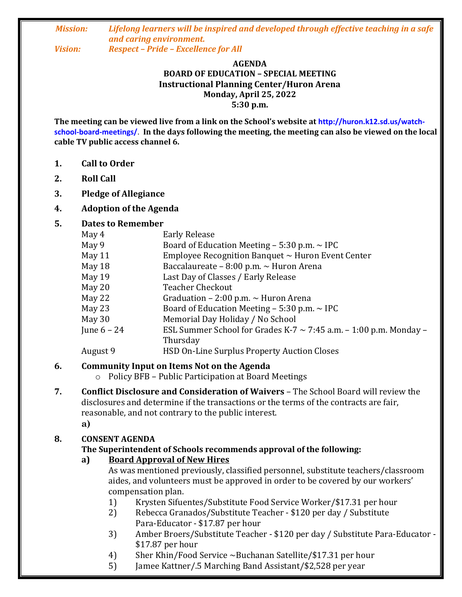#### *Mission: Lifelong learners will be inspired and developed through effective teaching in a safe and caring environment. Vision: Respect – Pride – Excellence for All*

## **AGENDA BOARD OF EDUCATION – SPECIAL MEETING**

**Instructional Planning Center/Huron Arena Monday, April 25, 2022**

**5:30 p.m.**

**The meeting can be viewed live from a link on the School's website at http://huron.k12.sd.us/watchschool-board-meetings/**. **In the days following the meeting, the meeting can also be viewed on the local cable TV public access channel 6.**

- **1. Call to Order**
- **2. Roll Call**
- **3. Pledge of Allegiance**
- **4. Adoption of the Agenda**

#### **5. Dates to Remember**

| <b>Early Release</b>                                                   |
|------------------------------------------------------------------------|
| Board of Education Meeting $-5:30$ p.m. $\sim$ IPC                     |
| Employee Recognition Banquet $\sim$ Huron Event Center                 |
| Baccalaureate – $8:00$ p.m. $\sim$ Huron Arena                         |
| Last Day of Classes / Early Release                                    |
| <b>Teacher Checkout</b>                                                |
| Graduation – 2:00 p.m. $\sim$ Huron Arena                              |
| Board of Education Meeting $-5:30$ p.m. $\sim$ IPC                     |
| Memorial Day Holiday / No School                                       |
| ESL Summer School for Grades K-7 $\sim$ 7:45 a.m. – 1:00 p.m. Monday – |
| Thursday                                                               |
| HSD On-Line Surplus Property Auction Closes                            |
|                                                                        |

#### **6. Community Input on Items Not on the Agenda**

- o Policy BFB Public Participation at Board Meetings
- **7. Conflict Disclosure and Consideration of Waivers**  The School Board will review the disclosures and determine if the transactions or the terms of the contracts are fair, reasonable, and not contrary to the public interest.

**a)**

#### **8. CONSENT AGENDA**

#### **The Superintendent of Schools recommends approval of the following:**

**a) Board Approval of New Hires**

As was mentioned previously, classified personnel, substitute teachers/classroom aides, and volunteers must be approved in order to be covered by our workers' compensation plan.

- 1) Krysten Sifuentes/Substitute Food Service Worker/\$17.31 per hour
- 2) Rebecca Granados/Substitute Teacher \$120 per day / Substitute Para-Educator - \$17.87 per hour
- 3) Amber Broers/Substitute Teacher \$120 per day / Substitute Para-Educator \$17.87 per hour
- 4) Sher Khin/Food Service ~Buchanan Satellite/\$17.31 per hour
- 5) Jamee Kattner/.5 Marching Band Assistant/\$2,528 per year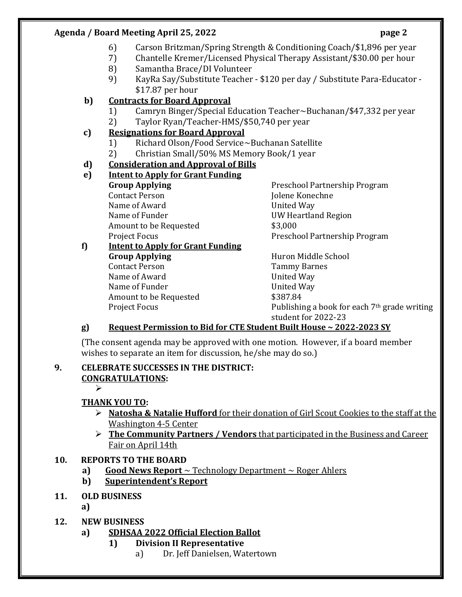#### **Agenda / Board Meeting April 25, 2022 page 2**

- 6) Carson Britzman/Spring Strength & Conditioning Coach/\$1,896 per year
- 7) Chantelle Kremer/Licensed Physical Therapy Assistant/\$30.00 per hour
- 8) Samantha Brace/DI Volunteer
- 9) KayRa Say/Substitute Teacher \$120 per day / Substitute Para-Educator \$17.87 per hour

## **b) Contracts for Board Approval**

- 1) Camryn Binger/Special Education Teacher~Buchanan/\$47,332 per year
- 2) Taylor Ryan/Teacher-HMS/\$50,740 per year
- **c) Resignations for Board Approval**
	- 1) Richard Olson/Food Service~Buchanan Satellite
	- 2) Christian Small/50% MS Memory Book/1 year

## **d) Consideration and Approval of Bills**

## **e) Intent to Apply for Grant Funding**

Contact Person and Tolene Konechne Name of Award **United Way** Name of Funder Name of Funder COME COME COMMENT UW Heartland Region Amount to be Requested  $$3,000$ 

**Group Applying** Preschool Partnership Program Project Focus **Preschool Partnership Program** 

## **f) Intent to Apply for Grant Funding Group Applying** Huron Middle School Contact Person Tammy Barnes Name of Award **United Way** Name of Funder Name of Funder All Allen May Amount to be Requested  $$387.84$

Project Focus **Publishing a book for each 7th grade writing** student for 2022-23

# **g) Request Permission to Bid for CTE Student Built House ~ 2022-2023 SY**

(The consent agenda may be approved with one motion. However, if a board member wishes to separate an item for discussion, he/she may do so.)

#### **9. CELEBRATE SUCCESSES IN THE DISTRICT: CONGRATULATIONS:**

 $\blacktriangleright$ 

## **THANK YOU TO:**

- **Natosha & Natalie Hufford** for their donation of Girl Scout Cookies to the staff at the Washington 4-5 Center
- **The Community Partners / Vendors** that participated in the Business and Career Fair on April 14th

## **10. REPORTS TO THE BOARD**

- **a) Good News Report** ~ Technology Department ~ Roger Ahlers
- **b) Superintendent's Report**

## **11. OLD BUSINESS**

**a)** 

**12. NEW BUSINESS**

## **a) SDHSAA 2022 Official Election Ballot**

- **1) Division II Representative**
	- a) Dr. Jeff Danielsen, Watertown